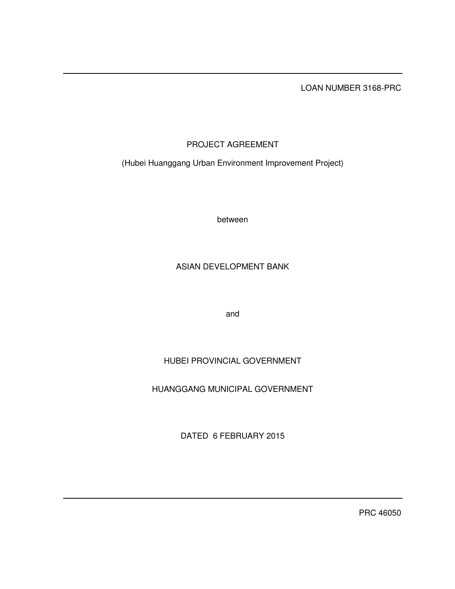LOAN NUMBER 3168-PRC

# PROJECT AGREEMENT

(Hubei Huanggang Urban Environment Improvement Project)

between

# ASIAN DEVELOPMENT BANK

and

# HUBEI PROVINCIAL GOVERNMENT

# HUANGGANG MUNICIPAL GOVERNMENT

DATED 6 FEBRUARY 2015

PRC 46050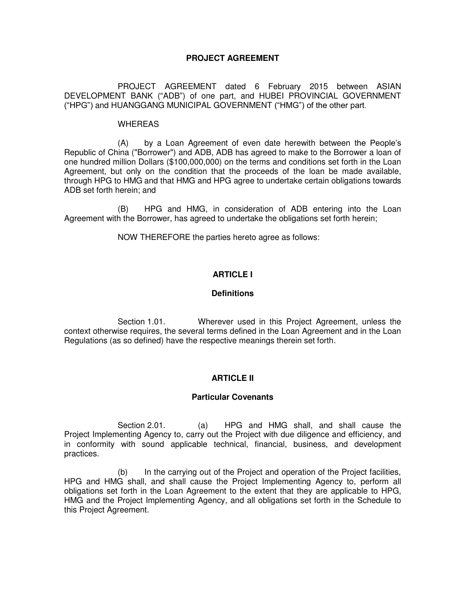# **PROJECT AGREEMENT**

 PROJECT AGREEMENT dated 6 February 2015 between ASIAN DEVELOPMENT BANK ("ADB") of one part, and HUBEI PROVINCIAL GOVERNMENT ("HPG") and HUANGGANG MUNICIPAL GOVERNMENT ("HMG") of the other part.

### WHEREAS

 (A) by a Loan Agreement of even date herewith between the People's Republic of China ("Borrower") and ADB, ADB has agreed to make to the Borrower a loan of one hundred million Dollars (\$100,000,000) on the terms and conditions set forth in the Loan Agreement, but only on the condition that the proceeds of the loan be made available, through HPG to HMG and that HMG and HPG agree to undertake certain obligations towards ADB set forth herein; and

(B) HPG and HMG, in consideration of ADB entering into the Loan Agreement with the Borrower, has agreed to undertake the obligations set forth herein;

NOW THEREFORE the parties hereto agree as follows:

# **ARTICLE I**

# **Definitions**

 Section 1.01. Wherever used in this Project Agreement, unless the context otherwise requires, the several terms defined in the Loan Agreement and in the Loan Regulations (as so defined) have the respective meanings therein set forth.

# **ARTICLE II**

# **Particular Covenants**

Section 2.01. (a) HPG and HMG shall, and shall cause the Project Implementing Agency to, carry out the Project with due diligence and efficiency, and in conformity with sound applicable technical, financial, business, and development practices.

 (b) In the carrying out of the Project and operation of the Project facilities, HPG and HMG shall, and shall cause the Project Implementing Agency to, perform all obligations set forth in the Loan Agreement to the extent that they are applicable to HPG, HMG and the Project Implementing Agency, and all obligations set forth in the Schedule to this Project Agreement.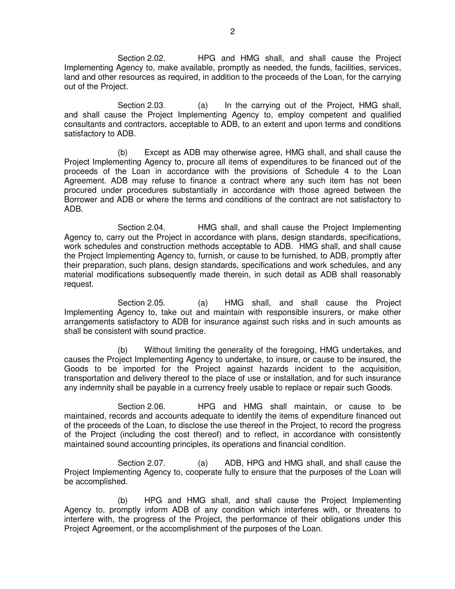Section 2.02. HPG and HMG shall, and shall cause the Project Implementing Agency to, make available, promptly as needed, the funds, facilities, services, land and other resources as required, in addition to the proceeds of the Loan, for the carrying out of the Project.

Section 2.03. (a) In the carrying out of the Project, HMG shall, and shall cause the Project Implementing Agency to, employ competent and qualified consultants and contractors, acceptable to ADB, to an extent and upon terms and conditions satisfactory to ADB.

 (b) Except as ADB may otherwise agree, HMG shall, and shall cause the Project Implementing Agency to, procure all items of expenditures to be financed out of the proceeds of the Loan in accordance with the provisions of Schedule 4 to the Loan Agreement. ADB may refuse to finance a contract where any such item has not been procured under procedures substantially in accordance with those agreed between the Borrower and ADB or where the terms and conditions of the contract are not satisfactory to ADB.

 Section 2.04. HMG shall, and shall cause the Project Implementing Agency to, carry out the Project in accordance with plans, design standards, specifications, work schedules and construction methods acceptable to ADB. HMG shall, and shall cause the Project Implementing Agency to, furnish, or cause to be furnished, to ADB, promptly after their preparation, such plans, design standards, specifications and work schedules, and any material modifications subsequently made therein, in such detail as ADB shall reasonably request.

Section 2.05. (a) HMG shall, and shall cause the Project Implementing Agency to, take out and maintain with responsible insurers, or make other arrangements satisfactory to ADB for insurance against such risks and in such amounts as shall be consistent with sound practice.

 (b) Without limiting the generality of the foregoing, HMG undertakes, and causes the Project Implementing Agency to undertake, to insure, or cause to be insured, the Goods to be imported for the Project against hazards incident to the acquisition, transportation and delivery thereof to the place of use or installation, and for such insurance any indemnity shall be payable in a currency freely usable to replace or repair such Goods.

 Section 2.06. HPG and HMG shall maintain, or cause to be maintained, records and accounts adequate to identify the items of expenditure financed out of the proceeds of the Loan, to disclose the use thereof in the Project, to record the progress of the Project (including the cost thereof) and to reflect, in accordance with consistently maintained sound accounting principles, its operations and financial condition.

 Section 2.07. (a) ADB, HPG and HMG shall, and shall cause the Project Implementing Agency to, cooperate fully to ensure that the purposes of the Loan will be accomplished.

 (b) HPG and HMG shall, and shall cause the Project Implementing Agency to, promptly inform ADB of any condition which interferes with, or threatens to interfere with, the progress of the Project, the performance of their obligations under this Project Agreement, or the accomplishment of the purposes of the Loan.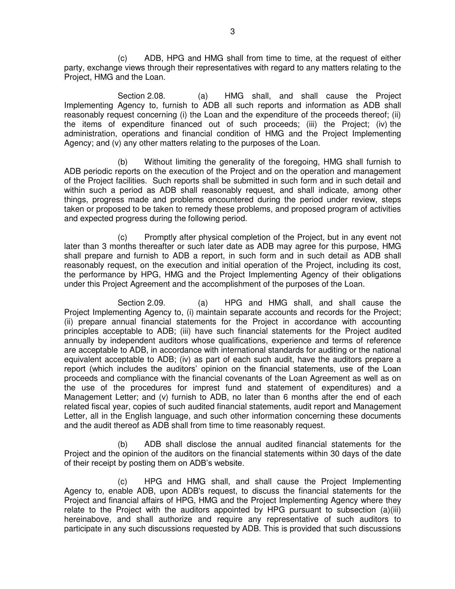(c) ADB, HPG and HMG shall from time to time, at the request of either party, exchange views through their representatives with regard to any matters relating to the Project, HMG and the Loan.

 Section 2.08. (a) HMG shall, and shall cause the Project Implementing Agency to, furnish to ADB all such reports and information as ADB shall reasonably request concerning (i) the Loan and the expenditure of the proceeds thereof; (ii) the items of expenditure financed out of such proceeds; (iii) the Project; (iv) the administration, operations and financial condition of HMG and the Project Implementing Agency; and (v) any other matters relating to the purposes of the Loan.

 (b) Without limiting the generality of the foregoing, HMG shall furnish to ADB periodic reports on the execution of the Project and on the operation and management of the Project facilities. Such reports shall be submitted in such form and in such detail and within such a period as ADB shall reasonably request, and shall indicate, among other things, progress made and problems encountered during the period under review, steps taken or proposed to be taken to remedy these problems, and proposed program of activities and expected progress during the following period.

 (c) Promptly after physical completion of the Project, but in any event not later than 3 months thereafter or such later date as ADB may agree for this purpose, HMG shall prepare and furnish to ADB a report, in such form and in such detail as ADB shall reasonably request, on the execution and initial operation of the Project, including its cost, the performance by HPG, HMG and the Project Implementing Agency of their obligations under this Project Agreement and the accomplishment of the purposes of the Loan.

Section 2.09. (a) HPG and HMG shall, and shall cause the Project Implementing Agency to, (i) maintain separate accounts and records for the Project; (ii) prepare annual financial statements for the Project in accordance with accounting principles acceptable to ADB; (iii) have such financial statements for the Project audited annually by independent auditors whose qualifications, experience and terms of reference are acceptable to ADB, in accordance with international standards for auditing or the national equivalent acceptable to ADB; (iv) as part of each such audit, have the auditors prepare a report (which includes the auditors' opinion on the financial statements, use of the Loan proceeds and compliance with the financial covenants of the Loan Agreement as well as on the use of the procedures for imprest fund and statement of expenditures) and a Management Letter; and (v) furnish to ADB, no later than 6 months after the end of each related fiscal year, copies of such audited financial statements, audit report and Management Letter, all in the English language, and such other information concerning these documents and the audit thereof as ADB shall from time to time reasonably request.

 (b) ADB shall disclose the annual audited financial statements for the Project and the opinion of the auditors on the financial statements within 30 days of the date of their receipt by posting them on ADB's website.

(c) HPG and HMG shall, and shall cause the Project Implementing Agency to, enable ADB, upon ADB's request, to discuss the financial statements for the Project and financial affairs of HPG, HMG and the Project Implementing Agency where they relate to the Project with the auditors appointed by HPG pursuant to subsection (a)(iii) hereinabove, and shall authorize and require any representative of such auditors to participate in any such discussions requested by ADB. This is provided that such discussions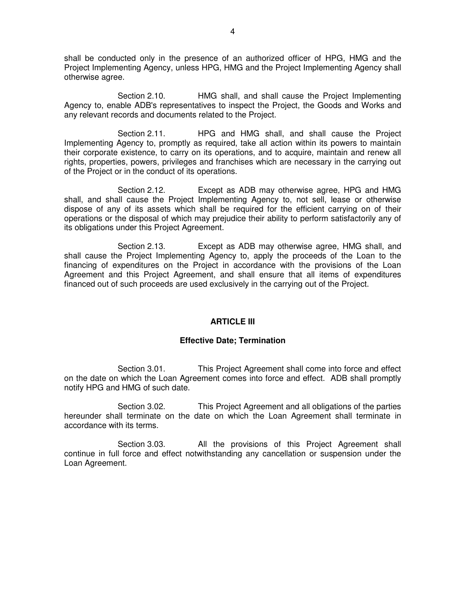shall be conducted only in the presence of an authorized officer of HPG, HMG and the Project Implementing Agency, unless HPG, HMG and the Project Implementing Agency shall otherwise agree.

 Section 2.10. HMG shall, and shall cause the Project Implementing Agency to, enable ADB's representatives to inspect the Project, the Goods and Works and any relevant records and documents related to the Project.

 Section 2.11. HPG and HMG shall, and shall cause the Project Implementing Agency to, promptly as required, take all action within its powers to maintain their corporate existence, to carry on its operations, and to acquire, maintain and renew all rights, properties, powers, privileges and franchises which are necessary in the carrying out of the Project or in the conduct of its operations.

 Section 2.12. Except as ADB may otherwise agree, HPG and HMG shall, and shall cause the Project Implementing Agency to, not sell, lease or otherwise dispose of any of its assets which shall be required for the efficient carrying on of their operations or the disposal of which may prejudice their ability to perform satisfactorily any of its obligations under this Project Agreement.

 Section 2.13. Except as ADB may otherwise agree, HMG shall, and shall cause the Project Implementing Agency to, apply the proceeds of the Loan to the financing of expenditures on the Project in accordance with the provisions of the Loan Agreement and this Project Agreement, and shall ensure that all items of expenditures financed out of such proceeds are used exclusively in the carrying out of the Project.

# **ARTICLE III**

# **Effective Date; Termination**

Section 3.01. This Project Agreement shall come into force and effect on the date on which the Loan Agreement comes into force and effect. ADB shall promptly notify HPG and HMG of such date.

Section 3.02. This Project Agreement and all obligations of the parties hereunder shall terminate on the date on which the Loan Agreement shall terminate in accordance with its terms.

Section 3.03. All the provisions of this Project Agreement shall continue in full force and effect notwithstanding any cancellation or suspension under the Loan Agreement.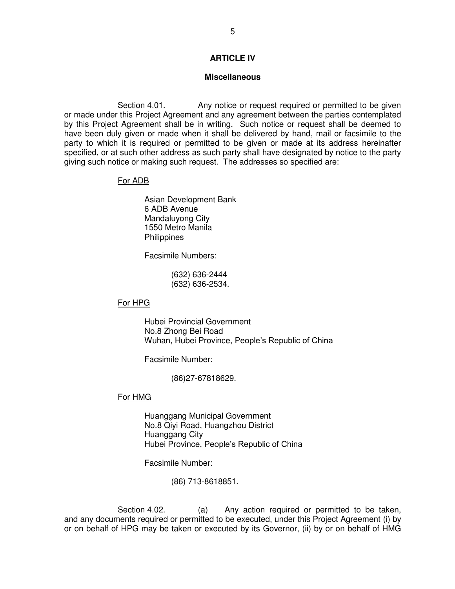# **ARTICLE IV**

#### **Miscellaneous**

Section 4.01. Any notice or request required or permitted to be given or made under this Project Agreement and any agreement between the parties contemplated by this Project Agreement shall be in writing. Such notice or request shall be deemed to have been duly given or made when it shall be delivered by hand, mail or facsimile to the party to which it is required or permitted to be given or made at its address hereinafter specified, or at such other address as such party shall have designated by notice to the party giving such notice or making such request. The addresses so specified are:

#### For ADB

Asian Development Bank 6 ADB Avenue Mandaluyong City 1550 Metro Manila **Philippines** 

Facsimile Numbers:

 (632) 636-2444 (632) 636-2534.

# For HPG

 Hubei Provincial Government No.8 Zhong Bei Road Wuhan, Hubei Province, People's Republic of China

Facsimile Number:

(86)27-67818629.

### For HMG

 Huanggang Municipal Government No.8 Qiyi Road, Huangzhou District Huanggang City Hubei Province, People's Republic of China

Facsimile Number:

(86) 713-8618851.

Section 4.02. (a) Any action required or permitted to be taken, and any documents required or permitted to be executed, under this Project Agreement (i) by or on behalf of HPG may be taken or executed by its Governor, (ii) by or on behalf of HMG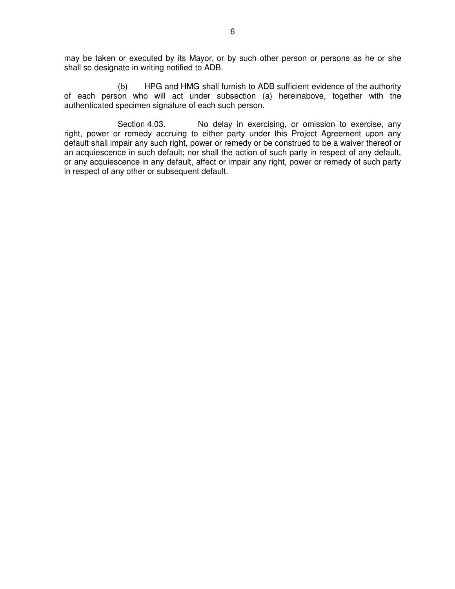may be taken or executed by its Mayor, or by such other person or persons as he or she shall so designate in writing notified to ADB.

 (b) HPG and HMG shall furnish to ADB sufficient evidence of the authority of each person who will act under subsection (a) hereinabove, together with the authenticated specimen signature of each such person.

Section 4.03. No delay in exercising, or omission to exercise, any right, power or remedy accruing to either party under this Project Agreement upon any default shall impair any such right, power or remedy or be construed to be a waiver thereof or an acquiescence in such default; nor shall the action of such party in respect of any default, or any acquiescence in any default, affect or impair any right, power or remedy of such party in respect of any other or subsequent default.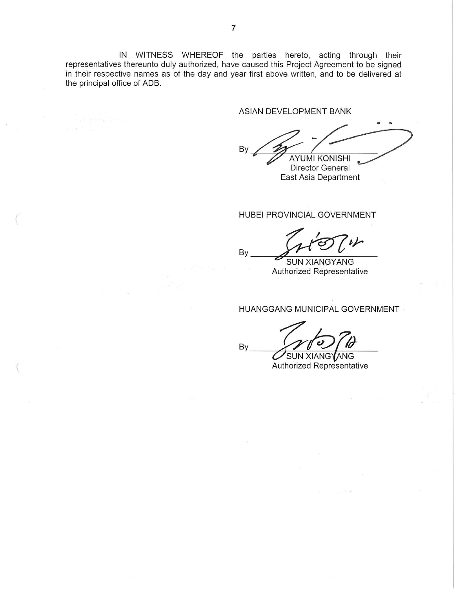IN WITNESS WHEREOF the parties hereto, acting through their representatives thereunto duly authorized, have caused this Project Agreement to be signed in their respective names as of the day and year first above written, and to be delivered at the principal office of ADB.

By

By

ASIAN DEVELOPMENT BANK

By **AYUMI KONISHI** Director General

East Asia Department

HUBEI PROVINCIAL GOVERNMENT

**SUN XIANGYANG** Authorized Representative

HUANGGANG MUNICIPAL GOVERNMENT

SUN XIANGYANG Authorized Representative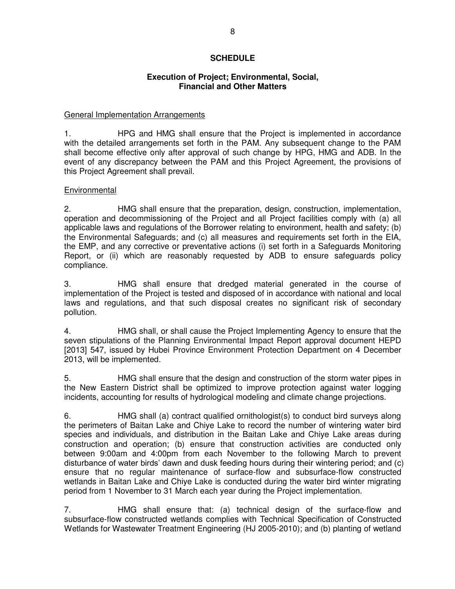# **SCHEDULE**

# **Execution of Project; Environmental, Social, Financial and Other Matters**

### General Implementation Arrangements

1. HPG and HMG shall ensure that the Project is implemented in accordance with the detailed arrangements set forth in the PAM. Any subsequent change to the PAM shall become effective only after approval of such change by HPG, HMG and ADB. In the event of any discrepancy between the PAM and this Project Agreement, the provisions of this Project Agreement shall prevail.

# Environmental

2. HMG shall ensure that the preparation, design, construction, implementation, operation and decommissioning of the Project and all Project facilities comply with (a) all applicable laws and regulations of the Borrower relating to environment, health and safety; (b) the Environmental Safeguards; and (c) all measures and requirements set forth in the EIA, the EMP, and any corrective or preventative actions (i) set forth in a Safeguards Monitoring Report, or (ii) which are reasonably requested by ADB to ensure safeguards policy compliance.

3. HMG shall ensure that dredged material generated in the course of implementation of the Project is tested and disposed of in accordance with national and local laws and regulations, and that such disposal creates no significant risk of secondary pollution.

4. HMG shall, or shall cause the Project Implementing Agency to ensure that the seven stipulations of the Planning Environmental Impact Report approval document HEPD [2013] 547, issued by Hubei Province Environment Protection Department on 4 December 2013, will be implemented.

5. HMG shall ensure that the design and construction of the storm water pipes in the New Eastern District shall be optimized to improve protection against water logging incidents, accounting for results of hydrological modeling and climate change projections.

6. HMG shall (a) contract qualified ornithologist(s) to conduct bird surveys along the perimeters of Baitan Lake and Chiye Lake to record the number of wintering water bird species and individuals, and distribution in the Baitan Lake and Chiye Lake areas during construction and operation; (b) ensure that construction activities are conducted only between 9:00am and 4:00pm from each November to the following March to prevent disturbance of water birds' dawn and dusk feeding hours during their wintering period; and (c) ensure that no regular maintenance of surface-flow and subsurface-flow constructed wetlands in Baitan Lake and Chiye Lake is conducted during the water bird winter migrating period from 1 November to 31 March each year during the Project implementation.

7. HMG shall ensure that: (a) technical design of the surface-flow and subsurface-flow constructed wetlands complies with Technical Specification of Constructed Wetlands for Wastewater Treatment Engineering (HJ 2005-2010); and (b) planting of wetland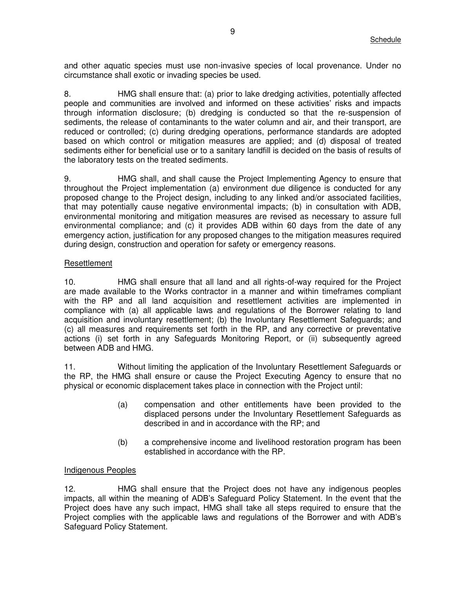and other aquatic species must use non-invasive species of local provenance. Under no circumstance shall exotic or invading species be used.

8. HMG shall ensure that: (a) prior to lake dredging activities, potentially affected people and communities are involved and informed on these activities' risks and impacts through information disclosure; (b) dredging is conducted so that the re-suspension of sediments, the release of contaminants to the water column and air, and their transport, are reduced or controlled; (c) during dredging operations, performance standards are adopted based on which control or mitigation measures are applied; and (d) disposal of treated sediments either for beneficial use or to a sanitary landfill is decided on the basis of results of the laboratory tests on the treated sediments.

9. HMG shall, and shall cause the Project Implementing Agency to ensure that throughout the Project implementation (a) environment due diligence is conducted for any proposed change to the Project design, including to any linked and/or associated facilities, that may potentially cause negative environmental impacts; (b) in consultation with ADB, environmental monitoring and mitigation measures are revised as necessary to assure full environmental compliance; and (c) it provides ADB within 60 days from the date of any emergency action, justification for any proposed changes to the mitigation measures required during design, construction and operation for safety or emergency reasons.

# Resettlement

10. HMG shall ensure that all land and all rights-of-way required for the Project are made available to the Works contractor in a manner and within timeframes compliant with the RP and all land acquisition and resettlement activities are implemented in compliance with (a) all applicable laws and regulations of the Borrower relating to land acquisition and involuntary resettlement; (b) the Involuntary Resettlement Safeguards; and (c) all measures and requirements set forth in the RP, and any corrective or preventative actions (i) set forth in any Safeguards Monitoring Report, or (ii) subsequently agreed between ADB and HMG.

11. Without limiting the application of the Involuntary Resettlement Safeguards or the RP, the HMG shall ensure or cause the Project Executing Agency to ensure that no physical or economic displacement takes place in connection with the Project until:

- (a) compensation and other entitlements have been provided to the displaced persons under the Involuntary Resettlement Safeguards as described in and in accordance with the RP; and
- (b) a comprehensive income and livelihood restoration program has been established in accordance with the RP.

# Indigenous Peoples

12. HMG shall ensure that the Project does not have any indigenous peoples impacts, all within the meaning of ADB's Safeguard Policy Statement. In the event that the Project does have any such impact, HMG shall take all steps required to ensure that the Project complies with the applicable laws and regulations of the Borrower and with ADB's Safeguard Policy Statement.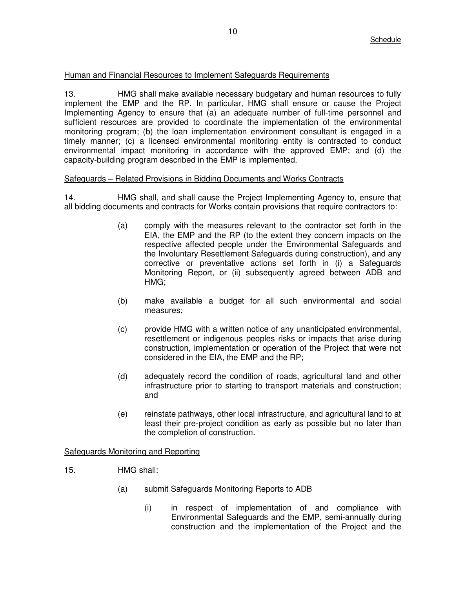# Human and Financial Resources to Implement Safeguards Requirements

13. HMG shall make available necessary budgetary and human resources to fully implement the EMP and the RP. In particular, HMG shall ensure or cause the Project Implementing Agency to ensure that (a) an adequate number of full-time personnel and sufficient resources are provided to coordinate the implementation of the environmental monitoring program; (b) the loan implementation environment consultant is engaged in a timely manner; (c) a licensed environmental monitoring entity is contracted to conduct environmental impact monitoring in accordance with the approved EMP; and (d) the capacity-building program described in the EMP is implemented.

# Safeguards – Related Provisions in Bidding Documents and Works Contracts

14. HMG shall, and shall cause the Project Implementing Agency to, ensure that all bidding documents and contracts for Works contain provisions that require contractors to:

- (a) comply with the measures relevant to the contractor set forth in the EIA, the EMP and the RP (to the extent they concern impacts on the respective affected people under the Environmental Safeguards and the Involuntary Resettlement Safeguards during construction), and any corrective or preventative actions set forth in (i) a Safeguards Monitoring Report, or (ii) subsequently agreed between ADB and HMG;
- (b) make available a budget for all such environmental and social measures;
- (c) provide HMG with a written notice of any unanticipated environmental, resettlement or indigenous peoples risks or impacts that arise during construction, implementation or operation of the Project that were not considered in the EIA, the EMP and the RP;
- (d) adequately record the condition of roads, agricultural land and other infrastructure prior to starting to transport materials and construction; and
- (e) reinstate pathways, other local infrastructure, and agricultural land to at least their pre-project condition as early as possible but no later than the completion of construction.

# Safeguards Monitoring and Reporting

- 15. HMG shall:
	- (a) submit Safeguards Monitoring Reports to ADB
		- (i) in respect of implementation of and compliance with Environmental Safeguards and the EMP, semi-annually during construction and the implementation of the Project and the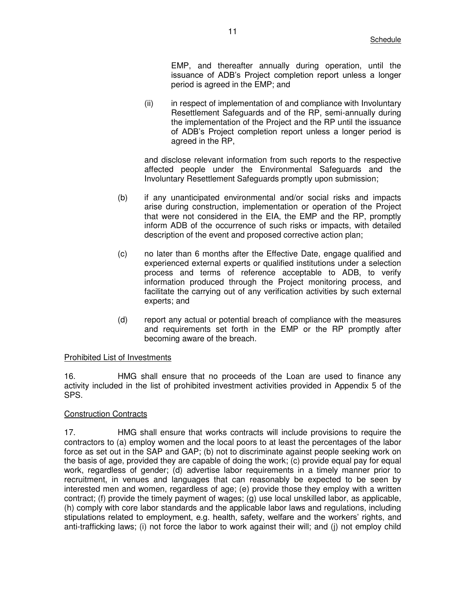EMP, and thereafter annually during operation, until the issuance of ADB's Project completion report unless a longer period is agreed in the EMP; and

(ii) in respect of implementation of and compliance with Involuntary Resettlement Safeguards and of the RP, semi-annually during the implementation of the Project and the RP until the issuance of ADB's Project completion report unless a longer period is agreed in the RP,

and disclose relevant information from such reports to the respective affected people under the Environmental Safeguards and the Involuntary Resettlement Safeguards promptly upon submission;

- (b) if any unanticipated environmental and/or social risks and impacts arise during construction, implementation or operation of the Project that were not considered in the EIA, the EMP and the RP, promptly inform ADB of the occurrence of such risks or impacts, with detailed description of the event and proposed corrective action plan;
- (c) no later than 6 months after the Effective Date, engage qualified and experienced external experts or qualified institutions under a selection process and terms of reference acceptable to ADB, to verify information produced through the Project monitoring process, and facilitate the carrying out of any verification activities by such external experts; and
- (d) report any actual or potential breach of compliance with the measures and requirements set forth in the EMP or the RP promptly after becoming aware of the breach.

#### Prohibited List of Investments

16. HMG shall ensure that no proceeds of the Loan are used to finance any activity included in the list of prohibited investment activities provided in Appendix 5 of the SPS.

# Construction Contracts

17. HMG shall ensure that works contracts will include provisions to require the contractors to (a) employ women and the local poors to at least the percentages of the labor force as set out in the SAP and GAP; (b) not to discriminate against people seeking work on the basis of age, provided they are capable of doing the work; (c) provide equal pay for equal work, regardless of gender; (d) advertise labor requirements in a timely manner prior to recruitment, in venues and languages that can reasonably be expected to be seen by interested men and women, regardless of age; (e) provide those they employ with a written contract; (f) provide the timely payment of wages; (g) use local unskilled labor, as applicable, (h) comply with core labor standards and the applicable labor laws and regulations, including stipulations related to employment, e.g. health, safety, welfare and the workers' rights, and anti-trafficking laws; (i) not force the labor to work against their will; and (j) not employ child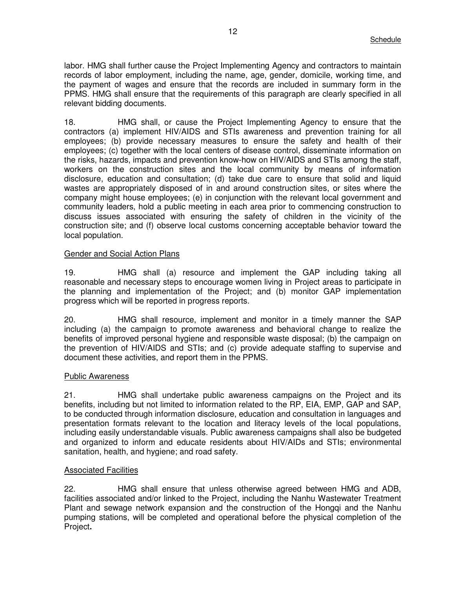labor. HMG shall further cause the Project Implementing Agency and contractors to maintain records of labor employment, including the name, age, gender, domicile, working time, and the payment of wages and ensure that the records are included in summary form in the PPMS. HMG shall ensure that the requirements of this paragraph are clearly specified in all relevant bidding documents.

18. HMG shall, or cause the Project Implementing Agency to ensure that the contractors (a) implement HIV/AIDS and STIs awareness and prevention training for all employees; (b) provide necessary measures to ensure the safety and health of their employees; (c) together with the local centers of disease control, disseminate information on the risks, hazards, impacts and prevention know-how on HIV/AIDS and STIs among the staff, workers on the construction sites and the local community by means of information disclosure, education and consultation; (d) take due care to ensure that solid and liquid wastes are appropriately disposed of in and around construction sites, or sites where the company might house employees; (e) in conjunction with the relevant local government and community leaders, hold a public meeting in each area prior to commencing construction to discuss issues associated with ensuring the safety of children in the vicinity of the construction site; and (f) observe local customs concerning acceptable behavior toward the local population.

#### Gender and Social Action Plans

19. HMG shall (a) resource and implement the GAP including taking all reasonable and necessary steps to encourage women living in Project areas to participate in the planning and implementation of the Project; and (b) monitor GAP implementation progress which will be reported in progress reports.

20. HMG shall resource, implement and monitor in a timely manner the SAP including (a) the campaign to promote awareness and behavioral change to realize the benefits of improved personal hygiene and responsible waste disposal; (b) the campaign on the prevention of HIV/AIDS and STIs; and (c) provide adequate staffing to supervise and document these activities, and report them in the PPMS.

#### **Public Awareness**

21. HMG shall undertake public awareness campaigns on the Project and its benefits, including but not limited to information related to the RP, EIA, EMP, GAP and SAP, to be conducted through information disclosure, education and consultation in languages and presentation formats relevant to the location and literacy levels of the local populations, including easily understandable visuals. Public awareness campaigns shall also be budgeted and organized to inform and educate residents about HIV/AIDs and STIs; environmental sanitation, health, and hygiene; and road safety.

#### Associated Facilities

22. HMG shall ensure that unless otherwise agreed between HMG and ADB, facilities associated and/or linked to the Project, including the Nanhu Wastewater Treatment Plant and sewage network expansion and the construction of the Hongqi and the Nanhu pumping stations, will be completed and operational before the physical completion of the Project**.**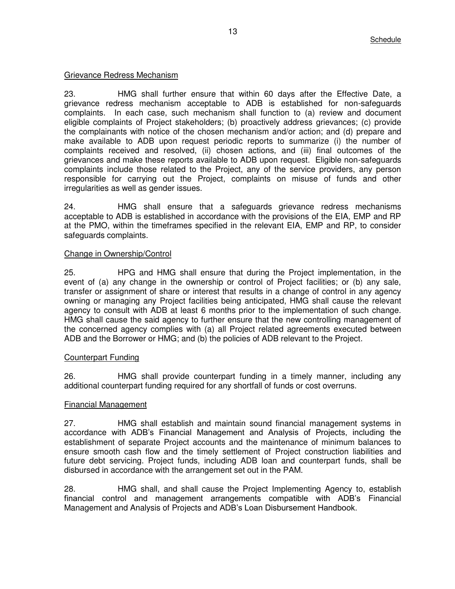### Grievance Redress Mechanism

23. HMG shall further ensure that within 60 days after the Effective Date, a grievance redress mechanism acceptable to ADB is established for non-safeguards complaints. In each case, such mechanism shall function to (a) review and document eligible complaints of Project stakeholders; (b) proactively address grievances; (c) provide the complainants with notice of the chosen mechanism and/or action; and (d) prepare and make available to ADB upon request periodic reports to summarize (i) the number of complaints received and resolved, (ii) chosen actions, and (iii) final outcomes of the grievances and make these reports available to ADB upon request. Eligible non-safeguards complaints include those related to the Project, any of the service providers, any person responsible for carrying out the Project, complaints on misuse of funds and other irregularities as well as gender issues.

24. HMG shall ensure that a safeguards grievance redress mechanisms acceptable to ADB is established in accordance with the provisions of the EIA, EMP and RP at the PMO, within the timeframes specified in the relevant EIA, EMP and RP, to consider safeguards complaints.

#### Change in Ownership/Control

25. HPG and HMG shall ensure that during the Project implementation, in the event of (a) any change in the ownership or control of Project facilities; or (b) any sale, transfer or assignment of share or interest that results in a change of control in any agency owning or managing any Project facilities being anticipated, HMG shall cause the relevant agency to consult with ADB at least 6 months prior to the implementation of such change. HMG shall cause the said agency to further ensure that the new controlling management of the concerned agency complies with (a) all Project related agreements executed between ADB and the Borrower or HMG; and (b) the policies of ADB relevant to the Project.

# Counterpart Funding

26. HMG shall provide counterpart funding in a timely manner, including any additional counterpart funding required for any shortfall of funds or cost overruns.

# Financial Management

27. HMG shall establish and maintain sound financial management systems in accordance with ADB's Financial Management and Analysis of Projects, including the establishment of separate Project accounts and the maintenance of minimum balances to ensure smooth cash flow and the timely settlement of Project construction liabilities and future debt servicing. Project funds, including ADB loan and counterpart funds, shall be disbursed in accordance with the arrangement set out in the PAM.

28. HMG shall, and shall cause the Project Implementing Agency to, establish financial control and management arrangements compatible with ADB's Financial Management and Analysis of Projects and ADB's Loan Disbursement Handbook.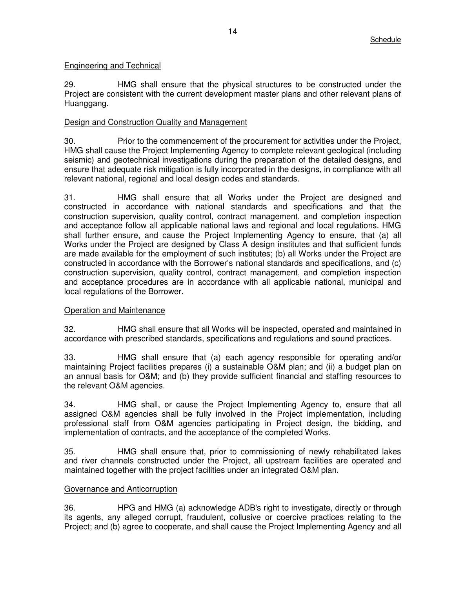# Engineering and Technical

29. HMG shall ensure that the physical structures to be constructed under the Project are consistent with the current development master plans and other relevant plans of Huanggang.

# Design and Construction Quality and Management

30. Prior to the commencement of the procurement for activities under the Project, HMG shall cause the Project Implementing Agency to complete relevant geological (including seismic) and geotechnical investigations during the preparation of the detailed designs, and ensure that adequate risk mitigation is fully incorporated in the designs, in compliance with all relevant national, regional and local design codes and standards.

31. HMG shall ensure that all Works under the Project are designed and constructed in accordance with national standards and specifications and that the construction supervision, quality control, contract management, and completion inspection and acceptance follow all applicable national laws and regional and local regulations. HMG shall further ensure, and cause the Project Implementing Agency to ensure, that (a) all Works under the Project are designed by Class A design institutes and that sufficient funds are made available for the employment of such institutes; (b) all Works under the Project are constructed in accordance with the Borrower's national standards and specifications, and (c) construction supervision, quality control, contract management, and completion inspection and acceptance procedures are in accordance with all applicable national, municipal and local regulations of the Borrower.

# **Operation and Maintenance**

32. HMG shall ensure that all Works will be inspected, operated and maintained in accordance with prescribed standards, specifications and regulations and sound practices.

33. HMG shall ensure that (a) each agency responsible for operating and/or maintaining Project facilities prepares (i) a sustainable O&M plan; and (ii) a budget plan on an annual basis for O&M; and (b) they provide sufficient financial and staffing resources to the relevant O&M agencies.

34. HMG shall, or cause the Project Implementing Agency to, ensure that all assigned O&M agencies shall be fully involved in the Project implementation, including professional staff from O&M agencies participating in Project design, the bidding, and implementation of contracts, and the acceptance of the completed Works.

35. HMG shall ensure that, prior to commissioning of newly rehabilitated lakes and river channels constructed under the Project, all upstream facilities are operated and maintained together with the project facilities under an integrated O&M plan.

# Governance and Anticorruption

36. HPG and HMG (a) acknowledge ADB's right to investigate, directly or through its agents, any alleged corrupt, fraudulent, collusive or coercive practices relating to the Project; and (b) agree to cooperate, and shall cause the Project Implementing Agency and all